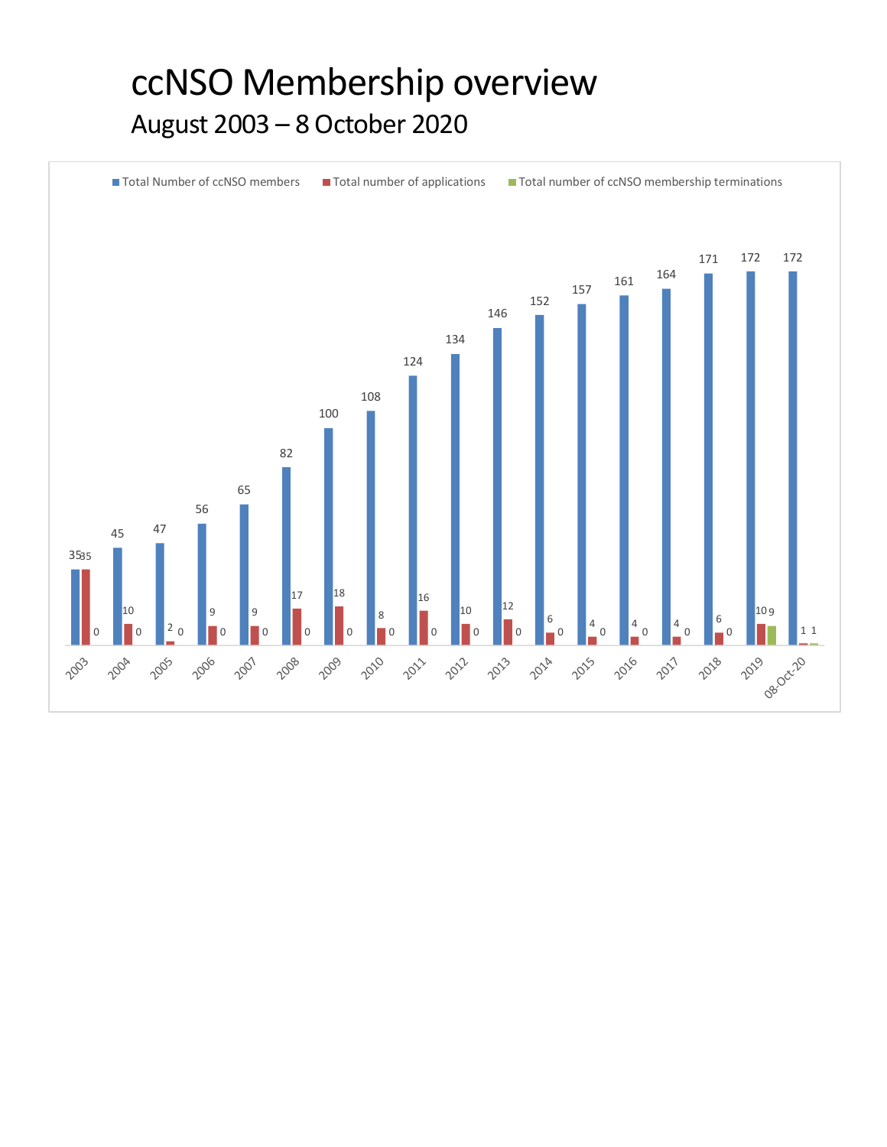## ccNSO Membership overview August 2003 – 8 October 2020

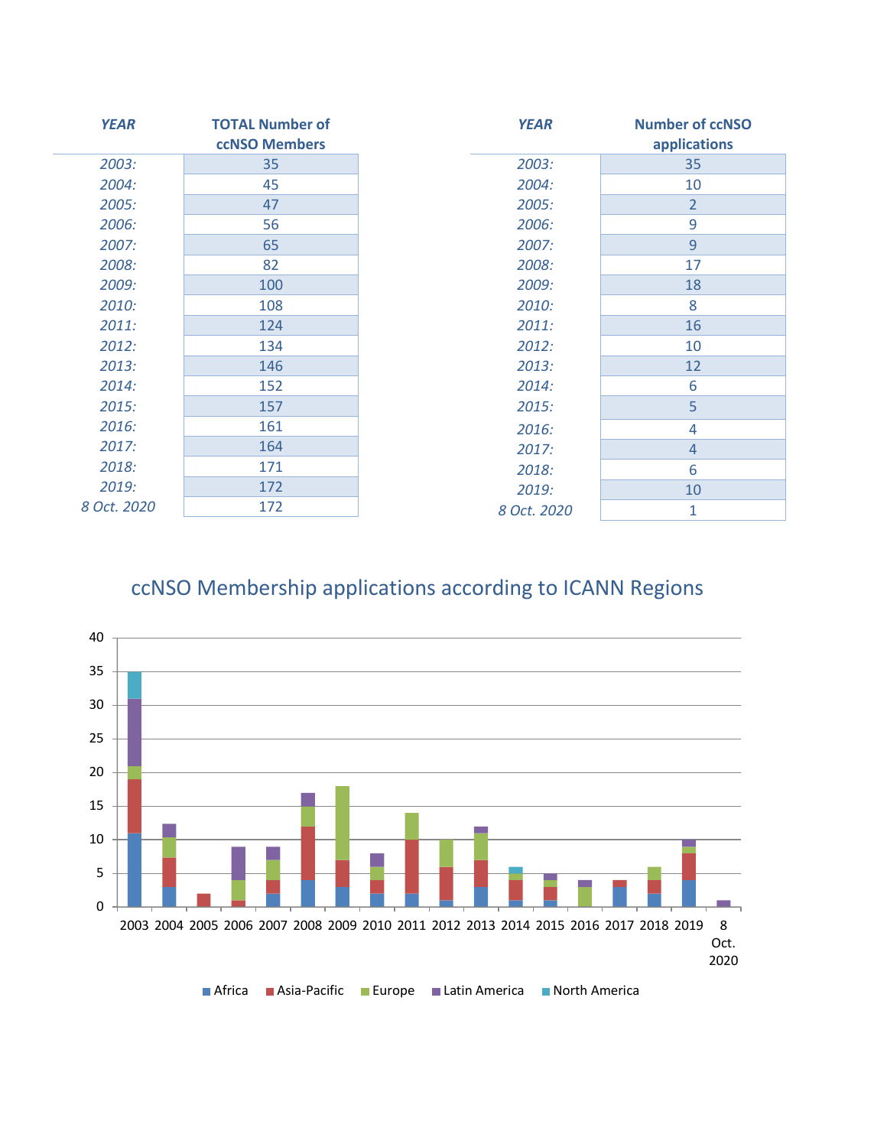| <b>YEAR</b> | <b>TOTAL Number of</b> | <b>YEAR</b> | <b>Number of ccNSO</b> |
|-------------|------------------------|-------------|------------------------|
|             | <b>ccNSO Members</b>   |             | applications           |
| 2003:       | 35                     | 2003:       | 35                     |
| 2004:       | 45                     | 2004:       | 10                     |
| 2005:       | 47                     | 2005:       | $\overline{2}$         |
| 2006:       | 56                     | 2006:       | 9                      |
| 2007:       | 65                     | 2007:       | 9                      |
| 2008:       | 82                     | 2008:       | 17                     |
| 2009:       | 100                    | 2009:       | 18                     |
| 2010:       | 108                    | 2010:       | 8                      |
| 2011:       | 124                    | 2011:       | 16                     |
| 2012:       | 134                    | 2012:       | 10                     |
| 2013:       | 146                    | 2013:       | 12                     |
| 2014:       | 152                    | 2014:       | 6                      |
| 2015:       | 157                    | 2015:       | 5                      |
| 2016:       | 161                    | 2016:       | 4                      |
| 2017:       | 164                    | 2017:       | $\overline{4}$         |
| 2018:       | 171                    | 2018:       | 6                      |
| 2019:       | 172                    | 2019:       | 10                     |
| 8 Oct. 2020 | 172                    | 8 Oct. 2020 | 1                      |

## ccNSO Membership applications according to ICANN Regions

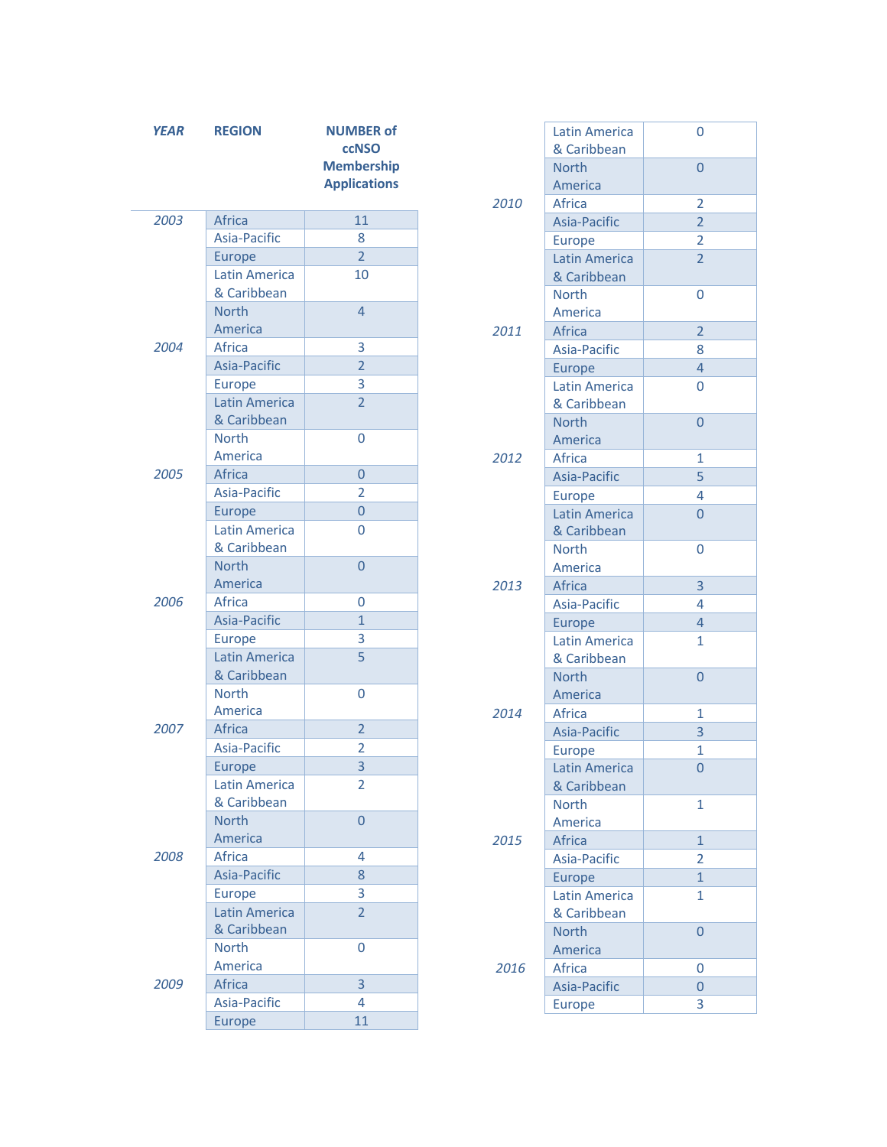| <b>YEAR</b> | <b>REGION</b>                       | <b>NUMBER of</b><br><b>ccNSO</b><br><b>Membership</b><br><b>Applications</b> | 2010 | <b>Latin America</b><br>& Caribbean<br><b>North</b><br>America<br>Africa | $\overline{0}$<br>$\overline{0}$<br>$\overline{2}$ |
|-------------|-------------------------------------|------------------------------------------------------------------------------|------|--------------------------------------------------------------------------|----------------------------------------------------|
| 2003        | Africa                              | 11                                                                           |      | Asia-Pacific                                                             | $\overline{2}$                                     |
|             | Asia-Pacific                        | 8                                                                            |      | Europe                                                                   | $\overline{2}$                                     |
|             | Europe                              | $\overline{2}$                                                               |      | Latin America                                                            | $\overline{2}$                                     |
|             | <b>Latin America</b><br>& Caribbean | 10                                                                           |      | & Caribbean                                                              |                                                    |
|             | <b>North</b>                        | $\overline{4}$                                                               |      | <b>North</b><br>America                                                  | $\overline{0}$                                     |
|             | America                             |                                                                              | 2011 | Africa                                                                   | $\overline{2}$                                     |
| 2004        | Africa                              | 3                                                                            |      | Asia-Pacific                                                             | 8                                                  |
|             | Asia-Pacific                        | $\overline{2}$                                                               |      | Europe                                                                   | $\overline{4}$                                     |
|             | Europe                              | 3                                                                            |      | Latin America                                                            | $\overline{0}$                                     |
|             | Latin America<br>& Caribbean        | $\overline{2}$                                                               |      | & Caribbean                                                              |                                                    |
|             | <b>North</b>                        | 0                                                                            |      | <b>North</b><br>America                                                  | $\overline{0}$                                     |
|             | America                             |                                                                              | 2012 | Africa                                                                   | $\mathbf{1}$                                       |
| 2005        | Africa                              | $\overline{0}$                                                               |      | Asia-Pacific                                                             | 5                                                  |
|             | Asia-Pacific                        | $\overline{2}$                                                               |      | Europe                                                                   | 4                                                  |
|             | Europe                              | $\overline{0}$                                                               |      | Latin America                                                            | $\overline{0}$                                     |
|             | Latin America                       | 0                                                                            |      | & Caribbean                                                              |                                                    |
|             | & Caribbean                         |                                                                              |      | <b>North</b>                                                             | $\overline{0}$                                     |
|             | <b>North</b>                        | $\overline{0}$                                                               |      | America                                                                  |                                                    |
|             | America                             |                                                                              | 2013 | Africa                                                                   | $\overline{3}$                                     |
| 2006        | Africa                              | 0                                                                            |      | Asia-Pacific                                                             | $\overline{4}$                                     |
|             | Asia-Pacific                        | $\mathbf{1}$                                                                 |      | Europe                                                                   | $\overline{4}$                                     |
|             | Europe                              | 3                                                                            |      | <b>Latin America</b>                                                     | $\mathbf{1}$                                       |
|             | Latin America                       | 5                                                                            |      | & Caribbean                                                              |                                                    |
|             | & Caribbean                         |                                                                              |      | <b>North</b>                                                             | $\overline{0}$                                     |
|             | <b>North</b>                        | 0                                                                            |      | America                                                                  |                                                    |
| 2007        | America<br>Africa                   | $\overline{2}$                                                               | 2014 | Africa                                                                   | 1                                                  |
|             | Asia-Pacific                        | $\overline{2}$                                                               |      | Asia-Pacific                                                             | 3                                                  |
|             | Europe                              | 3                                                                            |      | Europe                                                                   | $\mathbf{1}$                                       |
|             | <b>Latin America</b>                | $\overline{2}$                                                               |      | Latin America<br>& Caribbean                                             | $\overline{0}$                                     |
|             | & Caribbean                         |                                                                              |      | <b>North</b>                                                             | $\mathbf{1}$                                       |
|             | <b>North</b>                        | $\overline{0}$                                                               |      | America                                                                  |                                                    |
|             | America                             |                                                                              | 2015 | Africa                                                                   | $\mathbf{1}$                                       |
| 2008        | Africa                              | $\overline{4}$                                                               |      | Asia-Pacific                                                             | $\overline{2}$                                     |
|             | Asia-Pacific                        | 8                                                                            |      | Europe                                                                   | $\mathbf{1}$                                       |
|             | Europe                              | 3                                                                            |      | <b>Latin America</b>                                                     | $\mathbf{1}$                                       |
|             | Latin America                       | $\overline{2}$                                                               |      | & Caribbean                                                              |                                                    |
|             | & Caribbean                         |                                                                              |      | <b>North</b>                                                             | $\overline{0}$                                     |
|             | North                               | 0                                                                            |      | America                                                                  |                                                    |
|             | America                             |                                                                              | 2016 | Africa                                                                   | $\mathbf 0$                                        |
| 2009        | Africa                              | $\overline{3}$                                                               |      | Asia-Pacific                                                             | $\mathsf{O}\xspace$                                |
|             | Asia-Pacific                        | 4                                                                            |      | Europe                                                                   | 3                                                  |
|             | Europe                              | 11                                                                           |      |                                                                          |                                                    |